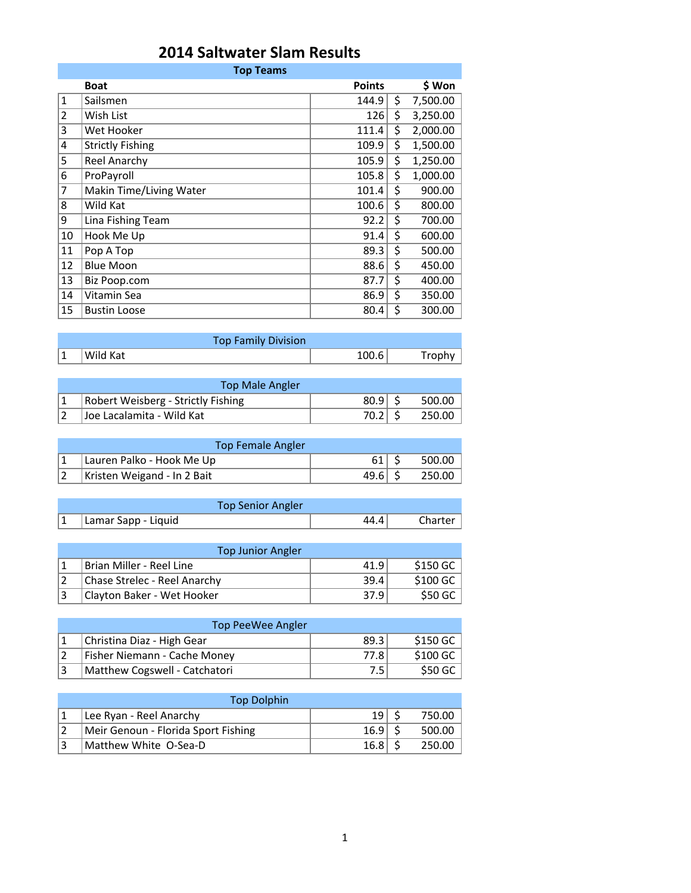## **2014 Saltwater Slam Results**

|                | <b>Top Teams</b>        |               |    |          |  |  |
|----------------|-------------------------|---------------|----|----------|--|--|
|                | <b>Boat</b>             | <b>Points</b> |    | \$ Won   |  |  |
| $\mathbf{1}$   | Sailsmen                | 144.9         | \$ | 7,500.00 |  |  |
| $\overline{2}$ | Wish List               | 126           | \$ | 3,250.00 |  |  |
| 3              | Wet Hooker              | 111.4         | \$ | 2,000.00 |  |  |
| 4              | <b>Strictly Fishing</b> | 109.9         | \$ | 1,500.00 |  |  |
| 5              | <b>Reel Anarchy</b>     | 105.9         | \$ | 1,250.00 |  |  |
| 6              | ProPayroll              | 105.8         | \$ | 1,000.00 |  |  |
| 7              | Makin Time/Living Water | 101.4         | \$ | 900.00   |  |  |
| 8              | Wild Kat                | 100.6         | \$ | 800.00   |  |  |
| 9              | Lina Fishing Team       | 92.2          | \$ | 700.00   |  |  |
| 10             | Hook Me Up              | 91.4          | \$ | 600.00   |  |  |
| 11             | Pop A Top               | 89.3          | \$ | 500.00   |  |  |
| 12             | <b>Blue Moon</b>        | 88.6          | \$ | 450.00   |  |  |
| 13             | Biz Poop.com            | 87.7          | \$ | 400.00   |  |  |
| 14             | Vitamin Sea             | 86.9          | \$ | 350.00   |  |  |
| 15             | <b>Bustin Loose</b>     | 80.4          | \$ | 300.00   |  |  |

|    | <b>Top Family Division</b> |       |  |
|----|----------------------------|-------|--|
| ⊢∸ | Wild Kat                   | 100.6 |  |

| <b>Top Male Angler</b>             |      |        |
|------------------------------------|------|--------|
| Robert Weisberg - Strictly Fishing | 80.9 | 500.00 |
| Uoe Lacalamita - Wild Kat          |      | 250.00 |

| Top Female Angler                 |        |          |
|-----------------------------------|--------|----------|
| Lauren Palko - Hook Me Up         | .61 I  | 500.00 l |
| $ 2 $ Kristen Weigand - In 2 Bait | 49.6 S | 250.00   |

|           | <b>Top Senior Angler</b> |         |
|-----------|--------------------------|---------|
| $\vert$ 1 | Lamar Sapp - Liquid      | Charter |
|           |                          |         |

| <b>Top Junior Angler</b>     |      |           |
|------------------------------|------|-----------|
| Brian Miller - Reel Line     | 41.9 | $$150$ GC |
| Chase Strelec - Reel Anarchy | 39.4 | S100 GC   |
| Clayton Baker - Wet Hooker   | 37.9 | S50 GC    |

| Top PeeWee Angler             |      |           |  |
|-------------------------------|------|-----------|--|
| Christina Diaz - High Gear    | 89.3 | \$150 GC  |  |
| Fisher Niemann - Cache Money  | 77.8 | $$100$ GC |  |
| Matthew Cogswell - Catchatori | 7.5  | \$50 GC   |  |

| <b>Top Dolphin</b>                  |                 |        |
|-------------------------------------|-----------------|--------|
| Lee Ryan - Reel Anarchy             | 19 <sup>1</sup> | 750.00 |
| Meir Genoun - Florida Sport Fishing | 16.9            | 500.00 |
| Matthew White O-Sea-D               | 16.8            | 250.00 |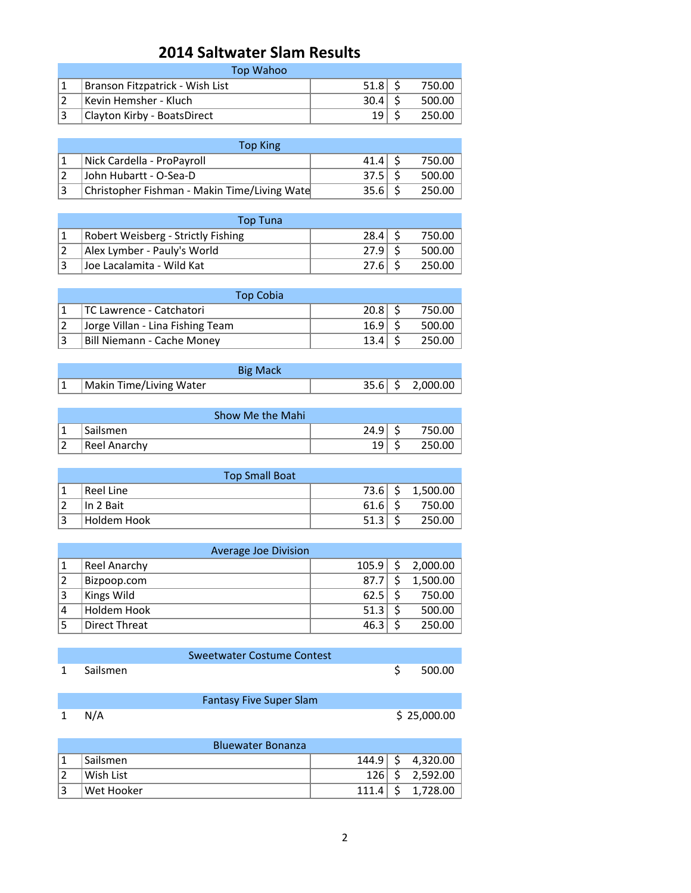## **2014 Saltwater Slam Results**

| Top Wahoo                       |      |        |
|---------------------------------|------|--------|
| Branson Fitzpatrick - Wish List | 51.8 | 750.00 |
| Kevin Hemsher - Kluch           | 30.4 | 500.00 |
| Clayton Kirby - BoatsDirect     | 19   | 250.00 |

| <b>Top King</b>                              |      |        |
|----------------------------------------------|------|--------|
| Nick Cardella - ProPayroll                   | 41.4 | 750.00 |
| John Hubartt - O-Sea-D                       | 37.5 | 500.00 |
| Christopher Fishman - Makin Time/Living Wate | 35.6 | 250.00 |

| Top Tuna                                  |      |        |
|-------------------------------------------|------|--------|
| <b>Robert Weisberg - Strictly Fishing</b> | 28.4 | 750.00 |
| Alex Lymber - Pauly's World               | 27.9 | 500.00 |
| Joe Lacalamita - Wild Kat                 | 27.6 | 250.00 |

|     | <b>Top Cobia</b>                 |                      |        |
|-----|----------------------------------|----------------------|--------|
|     | TC Lawrence - Catchatori         | $20.8$ $\frac{2}{5}$ | 750.00 |
|     | Jorge Villan - Lina Fishing Team | 16.9                 | 500.00 |
| । ੨ | Bill Niemann - Cache Money       | $13.4^{\circ}$       | 250.00 |

|   | <b>Big Mack</b>         |  |                    |
|---|-------------------------|--|--------------------|
| 1 | Makin Time/Living Water |  | $35.6$ \$ 2,000.00 |

|     | Show Me the Mahi |      |        |
|-----|------------------|------|--------|
| ∣ 1 | <b>Sailsmen</b>  | 24.9 | 750.00 |
|     | Reel Anarchy     | 10.  | 250.00 |

|                | <b>Top Small Boat</b> |      |          |
|----------------|-----------------------|------|----------|
|                | Reel Line             | 73.6 | 1,500.00 |
|                | In 2 Bait             | 61.6 | 750.00   |
| $\overline{a}$ | Holdem Hook           | 51.3 | 250.00   |

|   | Average Joe Division |       |          |
|---|----------------------|-------|----------|
|   | Reel Anarchy         | 105.9 | 2,000.00 |
| 2 | Bizpoop.com          | 87.7  | 1,500.00 |
| 3 | Kings Wild           | 62.5  | 750.00   |
| 4 | Holdem Hook          | 51.3  | 500.00   |
|   | Direct Threat        | 46.3  | 250.00   |

|            | Sweetwater Costume Contest |           |
|------------|----------------------------|-----------|
| 1 Sailsmen |                            | \$ 500.00 |

|       | <b>Fantasy Five Super Slam</b> |             |
|-------|--------------------------------|-------------|
| 1 N/A |                                | \$25,000.00 |

|   | <b>Bluewater Bonanza</b> |              |                     |
|---|--------------------------|--------------|---------------------|
|   | Sailsmen                 |              | $144.9$ \$ 4,320.00 |
|   | Wish List                | $126 \mid S$ | 2,592.00            |
| 3 | Wet Hooker               | 111.4        | 1,728.00            |